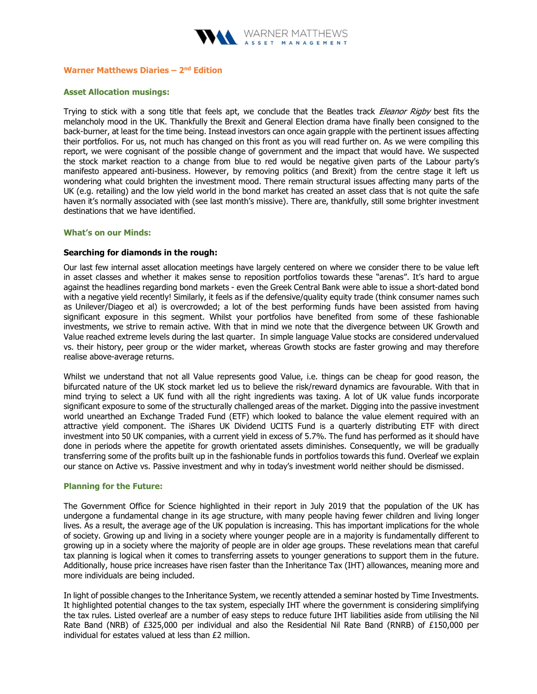

# Warner Matthews Diaries  $-2<sup>nd</sup>$  Edition

## Asset Allocation musings:

Trying to stick with a song title that feels apt, we conclude that the Beatles track Eleanor Rigby best fits the melancholy mood in the UK. Thankfully the Brexit and General Election drama have finally been consigned to the back-burner, at least for the time being. Instead investors can once again grapple with the pertinent issues affecting their portfolios. For us, not much has changed on this front as you will read further on. As we were compiling this report, we were cognisant of the possible change of government and the impact that would have. We suspected the stock market reaction to a change from blue to red would be negative given parts of the Labour party's manifesto appeared anti-business. However, by removing politics (and Brexit) from the centre stage it left us wondering what could brighten the investment mood. There remain structural issues affecting many parts of the UK (e.g. retailing) and the low yield world in the bond market has created an asset class that is not quite the safe haven it's normally associated with (see last month's missive). There are, thankfully, still some brighter investment destinations that we have identified.

#### What's on our Minds:

## Searching for diamonds in the rough:

Our last few internal asset allocation meetings have largely centered on where we consider there to be value left in asset classes and whether it makes sense to reposition portfolios towards these "arenas". It's hard to argue against the headlines regarding bond markets - even the Greek Central Bank were able to issue a short-dated bond with a negative yield recently! Similarly, it feels as if the defensive/quality equity trade (think consumer names such as Unilever/Diageo et al) is overcrowded; a lot of the best performing funds have been assisted from having significant exposure in this segment. Whilst your portfolios have benefited from some of these fashionable investments, we strive to remain active. With that in mind we note that the divergence between UK Growth and Value reached extreme levels during the last quarter. In simple language Value stocks are considered undervalued vs. their history, peer group or the wider market, whereas Growth stocks are faster growing and may therefore realise above-average returns.

Whilst we understand that not all Value represents good Value, i.e. things can be cheap for good reason, the bifurcated nature of the UK stock market led us to believe the risk/reward dynamics are favourable. With that in mind trying to select a UK fund with all the right ingredients was taxing. A lot of UK value funds incorporate significant exposure to some of the structurally challenged areas of the market. Digging into the passive investment world unearthed an Exchange Traded Fund (ETF) which looked to balance the value element required with an attractive yield component. The iShares UK Dividend UCITS Fund is a quarterly distributing ETF with direct investment into 50 UK companies, with a current yield in excess of 5.7%. The fund has performed as it should have done in periods where the appetite for growth orientated assets diminishes. Consequently, we will be gradually transferring some of the profits built up in the fashionable funds in portfolios towards this fund. Overleaf we explain our stance on Active vs. Passive investment and why in today's investment world neither should be dismissed.

#### Planning for the Future:

The Government Office for Science highlighted in their report in July 2019 that the population of the UK has undergone a fundamental change in its age structure, with many people having fewer children and living longer lives. As a result, the average age of the UK population is increasing. This has important implications for the whole of society. Growing up and living in a society where younger people are in a majority is fundamentally different to growing up in a society where the majority of people are in older age groups. These revelations mean that careful tax planning is logical when it comes to transferring assets to younger generations to support them in the future. Additionally, house price increases have risen faster than the Inheritance Tax (IHT) allowances, meaning more and more individuals are being included.

In light of possible changes to the Inheritance System, we recently attended a seminar hosted by Time Investments. It highlighted potential changes to the tax system, especially IHT where the government is considering simplifying the tax rules. Listed overleaf are a number of easy steps to reduce future IHT liabilities aside from utilising the Nil Rate Band (NRB) of £325,000 per individual and also the Residential Nil Rate Band (RNRB) of £150,000 per individual for estates valued at less than £2 million.